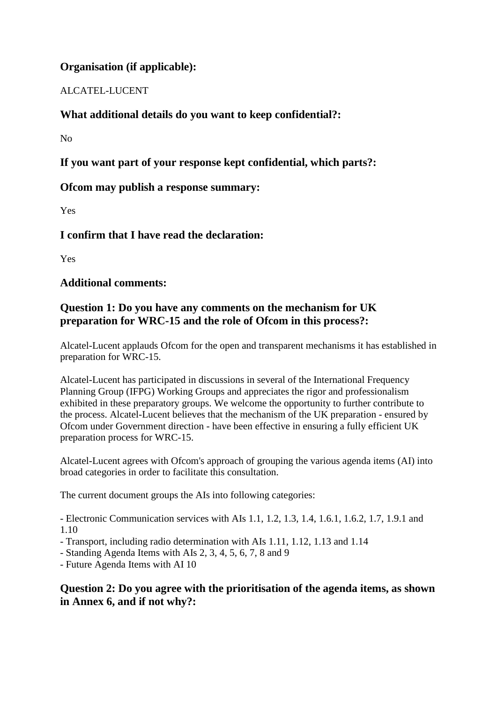# **Organisation (if applicable):**

# ALCATEL-LUCENT

# **What additional details do you want to keep confidential?:**

 $N<sub>0</sub>$ 

# **If you want part of your response kept confidential, which parts?:**

# **Ofcom may publish a response summary:**

Yes

**I confirm that I have read the declaration:**

Yes

# **Additional comments:**

# **Question 1: Do you have any comments on the mechanism for UK preparation for WRC-15 and the role of Ofcom in this process?:**

Alcatel-Lucent applauds Ofcom for the open and transparent mechanisms it has established in preparation for WRC-15.

Alcatel-Lucent has participated in discussions in several of the International Frequency Planning Group (IFPG) Working Groups and appreciates the rigor and professionalism exhibited in these preparatory groups. We welcome the opportunity to further contribute to the process. Alcatel-Lucent believes that the mechanism of the UK preparation - ensured by Ofcom under Government direction - have been effective in ensuring a fully efficient UK preparation process for WRC-15.

Alcatel-Lucent agrees with Ofcom's approach of grouping the various agenda items (AI) into broad categories in order to facilitate this consultation.

The current document groups the AIs into following categories:

- Electronic Communication services with AIs 1.1, 1.2, 1.3, 1.4, 1.6.1, 1.6.2, 1.7, 1.9.1 and 1.10

- Transport, including radio determination with AIs 1.11, 1.12, 1.13 and 1.14
- Standing Agenda Items with AIs 2, 3, 4, 5, 6, 7, 8 and 9
- Future Agenda Items with AI 10

**Question 2: Do you agree with the prioritisation of the agenda items, as shown in Annex 6, and if not why?:**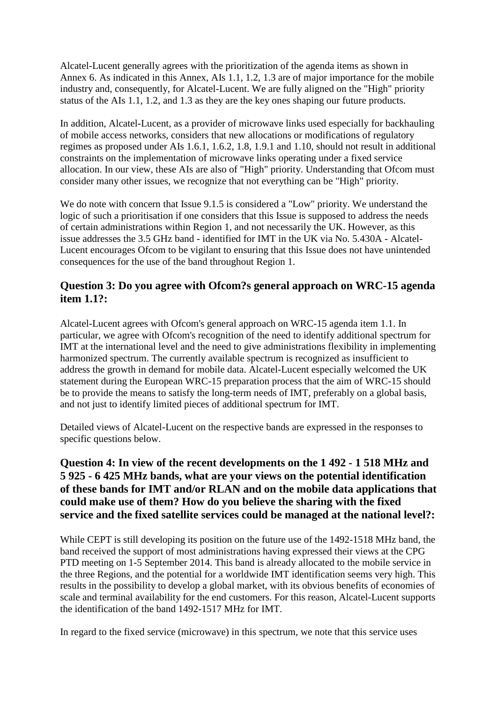Alcatel-Lucent generally agrees with the prioritization of the agenda items as shown in Annex 6. As indicated in this Annex, AIs 1.1, 1.2, 1.3 are of major importance for the mobile industry and, consequently, for Alcatel-Lucent. We are fully aligned on the "High" priority status of the AIs 1.1, 1.2, and 1.3 as they are the key ones shaping our future products.

In addition, Alcatel-Lucent, as a provider of microwave links used especially for backhauling of mobile access networks, considers that new allocations or modifications of regulatory regimes as proposed under AIs 1.6.1, 1.6.2, 1.8, 1.9.1 and 1.10, should not result in additional constraints on the implementation of microwave links operating under a fixed service allocation. In our view, these AIs are also of "High" priority. Understanding that Ofcom must consider many other issues, we recognize that not everything can be "High" priority.

We do note with concern that Issue 9.1.5 is considered a "Low" priority. We understand the logic of such a prioritisation if one considers that this Issue is supposed to address the needs of certain administrations within Region 1, and not necessarily the UK. However, as this issue addresses the 3.5 GHz band - identified for IMT in the UK via No. 5.430A - Alcatel-Lucent encourages Ofcom to be vigilant to ensuring that this Issue does not have unintended consequences for the use of the band throughout Region 1.

#### **Question 3: Do you agree with Ofcom?s general approach on WRC-15 agenda item 1.1?:**

Alcatel-Lucent agrees with Ofcom's general approach on WRC-15 agenda item 1.1. In particular, we agree with Ofcom's recognition of the need to identify additional spectrum for IMT at the international level and the need to give administrations flexibility in implementing harmonized spectrum. The currently available spectrum is recognized as insufficient to address the growth in demand for mobile data. Alcatel-Lucent especially welcomed the UK statement during the European WRC-15 preparation process that the aim of WRC-15 should be to provide the means to satisfy the long-term needs of IMT, preferably on a global basis, and not just to identify limited pieces of additional spectrum for IMT.

Detailed views of Alcatel-Lucent on the respective bands are expressed in the responses to specific questions below.

### **Question 4: In view of the recent developments on the 1 492 - 1 518 MHz and 5 925 - 6 425 MHz bands, what are your views on the potential identification of these bands for IMT and/or RLAN and on the mobile data applications that could make use of them? How do you believe the sharing with the fixed service and the fixed satellite services could be managed at the national level?:**

While CEPT is still developing its position on the future use of the 1492-1518 MHz band, the band received the support of most administrations having expressed their views at the CPG PTD meeting on 1-5 September 2014. This band is already allocated to the mobile service in the three Regions, and the potential for a worldwide IMT identification seems very high. This results in the possibility to develop a global market, with its obvious benefits of economies of scale and terminal availability for the end customers. For this reason, Alcatel-Lucent supports the identification of the band 1492-1517 MHz for IMT.

In regard to the fixed service (microwave) in this spectrum, we note that this service uses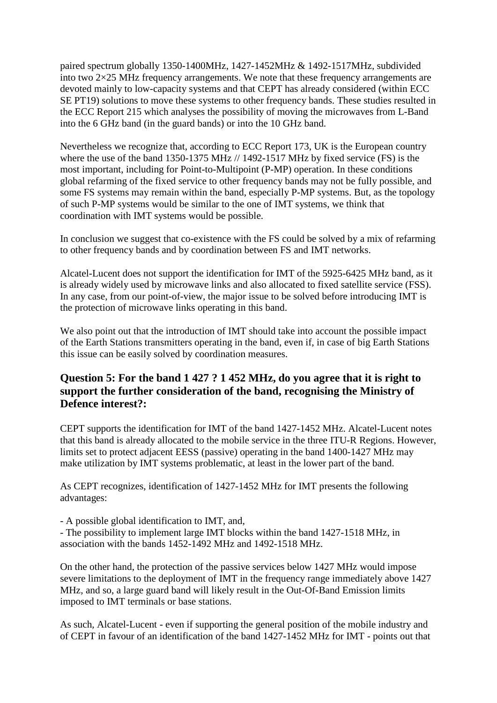paired spectrum globally 1350-1400MHz, 1427-1452MHz & 1492-1517MHz, subdivided into two 2×25 MHz frequency arrangements. We note that these frequency arrangements are devoted mainly to low-capacity systems and that CEPT has already considered (within ECC SE PT19) solutions to move these systems to other frequency bands. These studies resulted in the ECC Report 215 which analyses the possibility of moving the microwaves from L-Band into the 6 GHz band (in the guard bands) or into the 10 GHz band.

Nevertheless we recognize that, according to ECC Report 173, UK is the European country where the use of the band 1350-1375 MHz // 1492-1517 MHz by fixed service (FS) is the most important, including for Point-to-Multipoint (P-MP) operation. In these conditions global refarming of the fixed service to other frequency bands may not be fully possible, and some FS systems may remain within the band, especially P-MP systems. But, as the topology of such P-MP systems would be similar to the one of IMT systems, we think that coordination with IMT systems would be possible.

In conclusion we suggest that co-existence with the FS could be solved by a mix of refarming to other frequency bands and by coordination between FS and IMT networks.

Alcatel-Lucent does not support the identification for IMT of the 5925-6425 MHz band, as it is already widely used by microwave links and also allocated to fixed satellite service (FSS). In any case, from our point-of-view, the major issue to be solved before introducing IMT is the protection of microwave links operating in this band.

We also point out that the introduction of IMT should take into account the possible impact of the Earth Stations transmitters operating in the band, even if, in case of big Earth Stations this issue can be easily solved by coordination measures.

### **Question 5: For the band 1 427 ? 1 452 MHz, do you agree that it is right to support the further consideration of the band, recognising the Ministry of Defence interest?:**

CEPT supports the identification for IMT of the band 1427-1452 MHz. Alcatel-Lucent notes that this band is already allocated to the mobile service in the three ITU-R Regions. However, limits set to protect adjacent EESS (passive) operating in the band 1400-1427 MHz may make utilization by IMT systems problematic, at least in the lower part of the band.

As CEPT recognizes, identification of 1427-1452 MHz for IMT presents the following advantages:

- A possible global identification to IMT, and,

- The possibility to implement large IMT blocks within the band 1427-1518 MHz, in association with the bands 1452-1492 MHz and 1492-1518 MHz.

On the other hand, the protection of the passive services below 1427 MHz would impose severe limitations to the deployment of IMT in the frequency range immediately above 1427 MHz, and so, a large guard band will likely result in the Out-Of-Band Emission limits imposed to IMT terminals or base stations.

As such, Alcatel-Lucent - even if supporting the general position of the mobile industry and of CEPT in favour of an identification of the band 1427-1452 MHz for IMT - points out that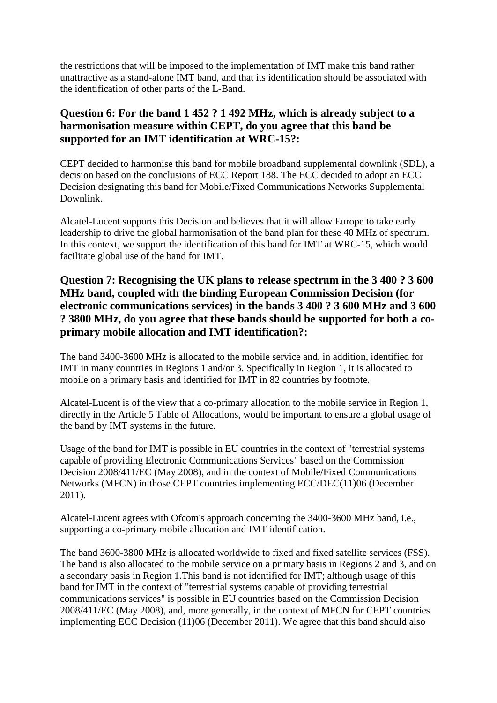the restrictions that will be imposed to the implementation of IMT make this band rather unattractive as a stand-alone IMT band, and that its identification should be associated with the identification of other parts of the L-Band.

# **Question 6: For the band 1 452 ? 1 492 MHz, which is already subject to a harmonisation measure within CEPT, do you agree that this band be supported for an IMT identification at WRC-15?:**

CEPT decided to harmonise this band for mobile broadband supplemental downlink (SDL), a decision based on the conclusions of ECC Report 188. The ECC decided to adopt an ECC Decision designating this band for Mobile/Fixed Communications Networks Supplemental Downlink.

Alcatel-Lucent supports this Decision and believes that it will allow Europe to take early leadership to drive the global harmonisation of the band plan for these 40 MHz of spectrum. In this context, we support the identification of this band for IMT at WRC-15, which would facilitate global use of the band for IMT.

# **Question 7: Recognising the UK plans to release spectrum in the 3 400 ? 3 600 MHz band, coupled with the binding European Commission Decision (for electronic communications services) in the bands 3 400 ? 3 600 MHz and 3 600 ? 3800 MHz, do you agree that these bands should be supported for both a coprimary mobile allocation and IMT identification?:**

The band 3400-3600 MHz is allocated to the mobile service and, in addition, identified for IMT in many countries in Regions 1 and/or 3. Specifically in Region 1, it is allocated to mobile on a primary basis and identified for IMT in 82 countries by footnote.

Alcatel-Lucent is of the view that a co-primary allocation to the mobile service in Region 1, directly in the Article 5 Table of Allocations, would be important to ensure a global usage of the band by IMT systems in the future.

Usage of the band for IMT is possible in EU countries in the context of "terrestrial systems capable of providing Electronic Communications Services" based on the Commission Decision 2008/411/EC (May 2008), and in the context of Mobile/Fixed Communications Networks (MFCN) in those CEPT countries implementing ECC/DEC(11)06 (December 2011).

Alcatel-Lucent agrees with Ofcom's approach concerning the 3400-3600 MHz band, i.e., supporting a co-primary mobile allocation and IMT identification.

The band 3600-3800 MHz is allocated worldwide to fixed and fixed satellite services (FSS). The band is also allocated to the mobile service on a primary basis in Regions 2 and 3, and on a secondary basis in Region 1.This band is not identified for IMT; although usage of this band for IMT in the context of "terrestrial systems capable of providing terrestrial communications services" is possible in EU countries based on the Commission Decision 2008/411/EC (May 2008), and, more generally, in the context of MFCN for CEPT countries implementing ECC Decision (11)06 (December 2011). We agree that this band should also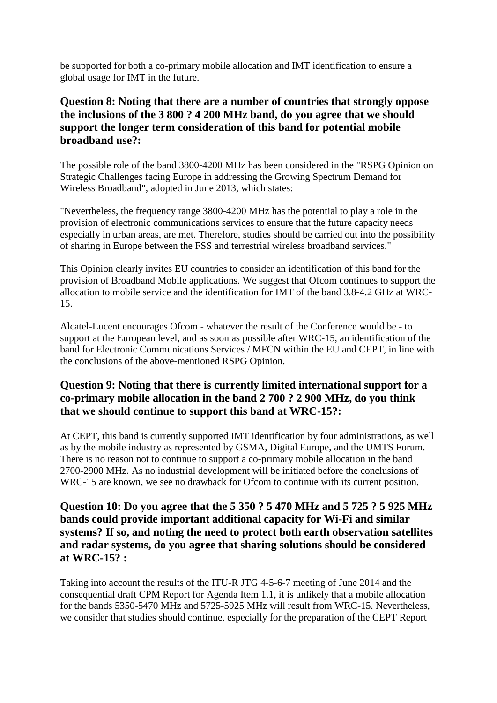be supported for both a co-primary mobile allocation and IMT identification to ensure a global usage for IMT in the future.

# **Question 8: Noting that there are a number of countries that strongly oppose the inclusions of the 3 800 ? 4 200 MHz band, do you agree that we should support the longer term consideration of this band for potential mobile broadband use?:**

The possible role of the band 3800-4200 MHz has been considered in the "RSPG Opinion on Strategic Challenges facing Europe in addressing the Growing Spectrum Demand for Wireless Broadband", adopted in June 2013, which states:

"Nevertheless, the frequency range 3800-4200 MHz has the potential to play a role in the provision of electronic communications services to ensure that the future capacity needs especially in urban areas, are met. Therefore, studies should be carried out into the possibility of sharing in Europe between the FSS and terrestrial wireless broadband services."

This Opinion clearly invites EU countries to consider an identification of this band for the provision of Broadband Mobile applications. We suggest that Ofcom continues to support the allocation to mobile service and the identification for IMT of the band 3.8-4.2 GHz at WRC-15.

Alcatel-Lucent encourages Ofcom - whatever the result of the Conference would be - to support at the European level, and as soon as possible after WRC-15, an identification of the band for Electronic Communications Services / MFCN within the EU and CEPT, in line with the conclusions of the above-mentioned RSPG Opinion.

# **Question 9: Noting that there is currently limited international support for a co-primary mobile allocation in the band 2 700 ? 2 900 MHz, do you think that we should continue to support this band at WRC-15?:**

At CEPT, this band is currently supported IMT identification by four administrations, as well as by the mobile industry as represented by GSMA, Digital Europe, and the UMTS Forum. There is no reason not to continue to support a co-primary mobile allocation in the band 2700-2900 MHz. As no industrial development will be initiated before the conclusions of WRC-15 are known, we see no drawback for Ofcom to continue with its current position.

# **Question 10: Do you agree that the 5 350 ? 5 470 MHz and 5 725 ? 5 925 MHz bands could provide important additional capacity for Wi-Fi and similar systems? If so, and noting the need to protect both earth observation satellites and radar systems, do you agree that sharing solutions should be considered at WRC-15? :**

Taking into account the results of the ITU-R JTG 4-5-6-7 meeting of June 2014 and the consequential draft CPM Report for Agenda Item 1.1, it is unlikely that a mobile allocation for the bands 5350-5470 MHz and 5725-5925 MHz will result from WRC-15. Nevertheless, we consider that studies should continue, especially for the preparation of the CEPT Report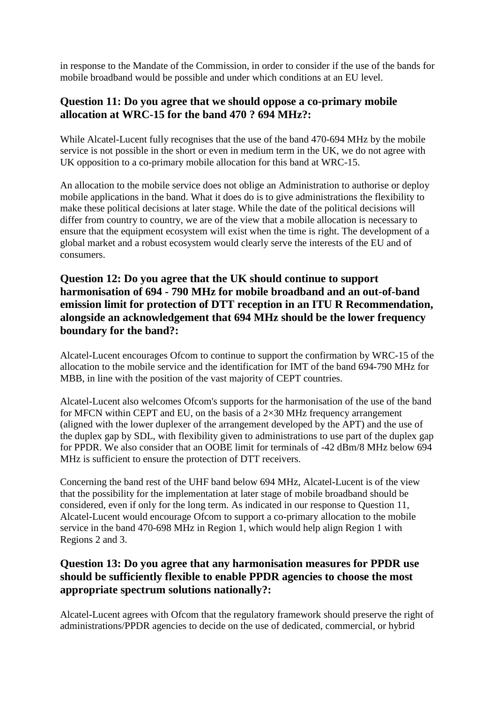in response to the Mandate of the Commission, in order to consider if the use of the bands for mobile broadband would be possible and under which conditions at an EU level.

### **Question 11: Do you agree that we should oppose a co-primary mobile allocation at WRC-15 for the band 470 ? 694 MHz?:**

While Alcatel-Lucent fully recognises that the use of the band 470-694 MHz by the mobile service is not possible in the short or even in medium term in the UK, we do not agree with UK opposition to a co-primary mobile allocation for this band at WRC-15.

An allocation to the mobile service does not oblige an Administration to authorise or deploy mobile applications in the band. What it does do is to give administrations the flexibility to make these political decisions at later stage. While the date of the political decisions will differ from country to country, we are of the view that a mobile allocation is necessary to ensure that the equipment ecosystem will exist when the time is right. The development of a global market and a robust ecosystem would clearly serve the interests of the EU and of consumers.

# **Question 12: Do you agree that the UK should continue to support harmonisation of 694 - 790 MHz for mobile broadband and an out-of-band emission limit for protection of DTT reception in an ITU R Recommendation, alongside an acknowledgement that 694 MHz should be the lower frequency boundary for the band?:**

Alcatel-Lucent encourages Ofcom to continue to support the confirmation by WRC-15 of the allocation to the mobile service and the identification for IMT of the band 694-790 MHz for MBB, in line with the position of the vast majority of CEPT countries.

Alcatel-Lucent also welcomes Ofcom's supports for the harmonisation of the use of the band for MFCN within CEPT and EU, on the basis of a  $2\times30$  MHz frequency arrangement (aligned with the lower duplexer of the arrangement developed by the APT) and the use of the duplex gap by SDL, with flexibility given to administrations to use part of the duplex gap for PPDR. We also consider that an OOBE limit for terminals of -42 dBm/8 MHz below 694 MHz is sufficient to ensure the protection of DTT receivers.

Concerning the band rest of the UHF band below 694 MHz, Alcatel-Lucent is of the view that the possibility for the implementation at later stage of mobile broadband should be considered, even if only for the long term. As indicated in our response to Question 11, Alcatel-Lucent would encourage Ofcom to support a co-primary allocation to the mobile service in the band 470-698 MHz in Region 1, which would help align Region 1 with Regions 2 and 3.

# **Question 13: Do you agree that any harmonisation measures for PPDR use should be sufficiently flexible to enable PPDR agencies to choose the most appropriate spectrum solutions nationally?:**

Alcatel-Lucent agrees with Ofcom that the regulatory framework should preserve the right of administrations/PPDR agencies to decide on the use of dedicated, commercial, or hybrid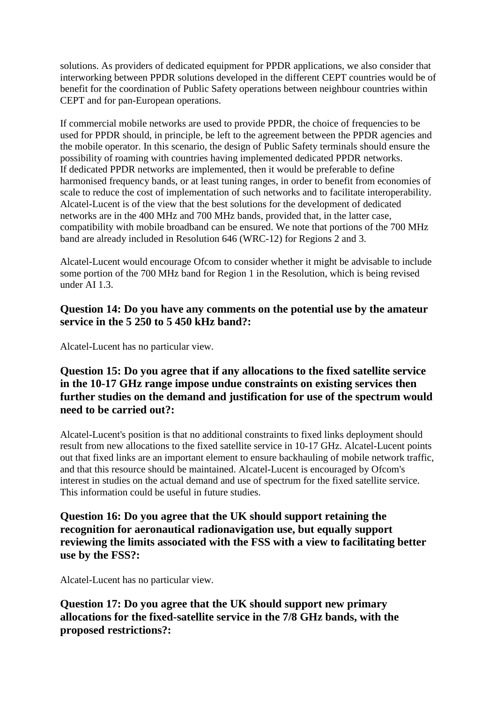solutions. As providers of dedicated equipment for PPDR applications, we also consider that interworking between PPDR solutions developed in the different CEPT countries would be of benefit for the coordination of Public Safety operations between neighbour countries within CEPT and for pan-European operations.

If commercial mobile networks are used to provide PPDR, the choice of frequencies to be used for PPDR should, in principle, be left to the agreement between the PPDR agencies and the mobile operator. In this scenario, the design of Public Safety terminals should ensure the possibility of roaming with countries having implemented dedicated PPDR networks. If dedicated PPDR networks are implemented, then it would be preferable to define harmonised frequency bands, or at least tuning ranges, in order to benefit from economies of scale to reduce the cost of implementation of such networks and to facilitate interoperability. Alcatel-Lucent is of the view that the best solutions for the development of dedicated networks are in the 400 MHz and 700 MHz bands, provided that, in the latter case, compatibility with mobile broadband can be ensured. We note that portions of the 700 MHz band are already included in Resolution 646 (WRC-12) for Regions 2 and 3.

Alcatel-Lucent would encourage Ofcom to consider whether it might be advisable to include some portion of the 700 MHz band for Region 1 in the Resolution, which is being revised under AI 1.3.

#### **Question 14: Do you have any comments on the potential use by the amateur service in the 5 250 to 5 450 kHz band?:**

Alcatel-Lucent has no particular view.

#### **Question 15: Do you agree that if any allocations to the fixed satellite service in the 10-17 GHz range impose undue constraints on existing services then further studies on the demand and justification for use of the spectrum would need to be carried out?:**

Alcatel-Lucent's position is that no additional constraints to fixed links deployment should result from new allocations to the fixed satellite service in 10-17 GHz. Alcatel-Lucent points out that fixed links are an important element to ensure backhauling of mobile network traffic, and that this resource should be maintained. Alcatel-Lucent is encouraged by Ofcom's interest in studies on the actual demand and use of spectrum for the fixed satellite service. This information could be useful in future studies.

**Question 16: Do you agree that the UK should support retaining the recognition for aeronautical radionavigation use, but equally support reviewing the limits associated with the FSS with a view to facilitating better use by the FSS?:**

Alcatel-Lucent has no particular view.

**Question 17: Do you agree that the UK should support new primary allocations for the fixed-satellite service in the 7/8 GHz bands, with the proposed restrictions?:**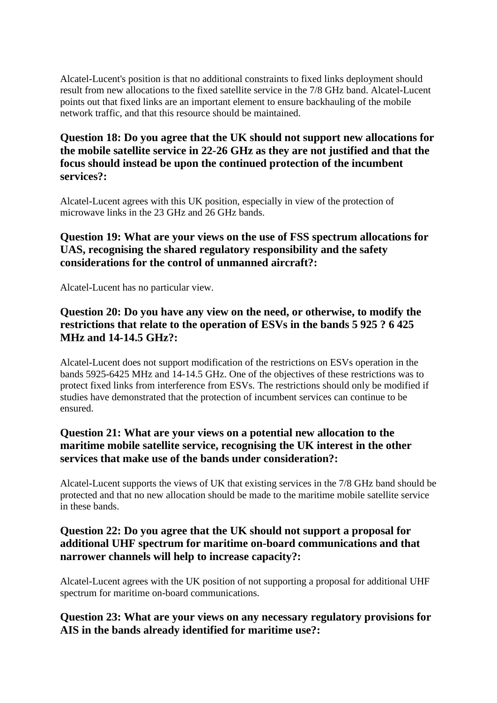Alcatel-Lucent's position is that no additional constraints to fixed links deployment should result from new allocations to the fixed satellite service in the 7/8 GHz band. Alcatel-Lucent points out that fixed links are an important element to ensure backhauling of the mobile network traffic, and that this resource should be maintained.

### **Question 18: Do you agree that the UK should not support new allocations for the mobile satellite service in 22-26 GHz as they are not justified and that the focus should instead be upon the continued protection of the incumbent services?:**

Alcatel-Lucent agrees with this UK position, especially in view of the protection of microwave links in the 23 GHz and 26 GHz bands.

# **Question 19: What are your views on the use of FSS spectrum allocations for UAS, recognising the shared regulatory responsibility and the safety considerations for the control of unmanned aircraft?:**

Alcatel-Lucent has no particular view.

# **Question 20: Do you have any view on the need, or otherwise, to modify the restrictions that relate to the operation of ESVs in the bands 5 925 ? 6 425 MHz and 14-14.5 GHz?:**

Alcatel-Lucent does not support modification of the restrictions on ESVs operation in the bands 5925-6425 MHz and 14-14.5 GHz. One of the objectives of these restrictions was to protect fixed links from interference from ESVs. The restrictions should only be modified if studies have demonstrated that the protection of incumbent services can continue to be ensured.

# **Question 21: What are your views on a potential new allocation to the maritime mobile satellite service, recognising the UK interest in the other services that make use of the bands under consideration?:**

Alcatel-Lucent supports the views of UK that existing services in the 7/8 GHz band should be protected and that no new allocation should be made to the maritime mobile satellite service in these bands.

### **Question 22: Do you agree that the UK should not support a proposal for additional UHF spectrum for maritime on-board communications and that narrower channels will help to increase capacity?:**

Alcatel-Lucent agrees with the UK position of not supporting a proposal for additional UHF spectrum for maritime on-board communications.

#### **Question 23: What are your views on any necessary regulatory provisions for AIS in the bands already identified for maritime use?:**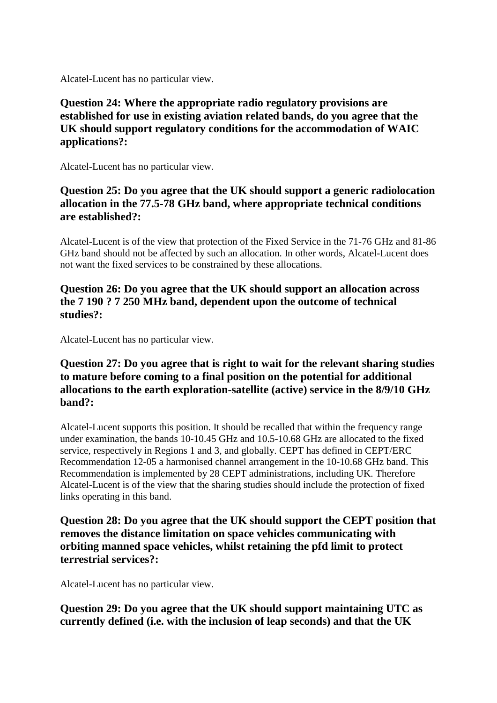Alcatel-Lucent has no particular view.

# **Question 24: Where the appropriate radio regulatory provisions are established for use in existing aviation related bands, do you agree that the UK should support regulatory conditions for the accommodation of WAIC applications?:**

Alcatel-Lucent has no particular view.

# **Question 25: Do you agree that the UK should support a generic radiolocation allocation in the 77.5-78 GHz band, where appropriate technical conditions are established?:**

Alcatel-Lucent is of the view that protection of the Fixed Service in the 71-76 GHz and 81-86 GHz band should not be affected by such an allocation. In other words, Alcatel-Lucent does not want the fixed services to be constrained by these allocations.

# **Question 26: Do you agree that the UK should support an allocation across the 7 190 ? 7 250 MHz band, dependent upon the outcome of technical studies?:**

Alcatel-Lucent has no particular view.

# **Question 27: Do you agree that is right to wait for the relevant sharing studies to mature before coming to a final position on the potential for additional allocations to the earth exploration-satellite (active) service in the 8/9/10 GHz band?:**

Alcatel-Lucent supports this position. It should be recalled that within the frequency range under examination, the bands 10-10.45 GHz and 10.5-10.68 GHz are allocated to the fixed service, respectively in Regions 1 and 3, and globally. CEPT has defined in CEPT/ERC Recommendation 12-05 a harmonised channel arrangement in the 10-10.68 GHz band. This Recommendation is implemented by 28 CEPT administrations, including UK. Therefore Alcatel-Lucent is of the view that the sharing studies should include the protection of fixed links operating in this band.

**Question 28: Do you agree that the UK should support the CEPT position that removes the distance limitation on space vehicles communicating with orbiting manned space vehicles, whilst retaining the pfd limit to protect terrestrial services?:**

Alcatel-Lucent has no particular view.

**Question 29: Do you agree that the UK should support maintaining UTC as currently defined (i.e. with the inclusion of leap seconds) and that the UK**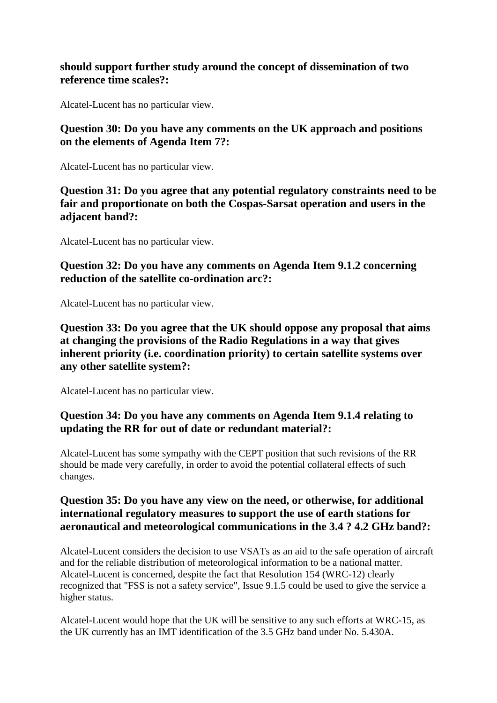#### **should support further study around the concept of dissemination of two reference time scales?:**

Alcatel-Lucent has no particular view.

**Question 30: Do you have any comments on the UK approach and positions on the elements of Agenda Item 7?:**

Alcatel-Lucent has no particular view.

**Question 31: Do you agree that any potential regulatory constraints need to be fair and proportionate on both the Cospas-Sarsat operation and users in the adjacent band?:**

Alcatel-Lucent has no particular view.

**Question 32: Do you have any comments on Agenda Item 9.1.2 concerning reduction of the satellite co-ordination arc?:**

Alcatel-Lucent has no particular view.

**Question 33: Do you agree that the UK should oppose any proposal that aims at changing the provisions of the Radio Regulations in a way that gives inherent priority (i.e. coordination priority) to certain satellite systems over any other satellite system?:**

Alcatel-Lucent has no particular view.

#### **Question 34: Do you have any comments on Agenda Item 9.1.4 relating to updating the RR for out of date or redundant material?:**

Alcatel-Lucent has some sympathy with the CEPT position that such revisions of the RR should be made very carefully, in order to avoid the potential collateral effects of such changes.

#### **Question 35: Do you have any view on the need, or otherwise, for additional international regulatory measures to support the use of earth stations for aeronautical and meteorological communications in the 3.4 ? 4.2 GHz band?:**

Alcatel-Lucent considers the decision to use VSATs as an aid to the safe operation of aircraft and for the reliable distribution of meteorological information to be a national matter. Alcatel-Lucent is concerned, despite the fact that Resolution 154 (WRC-12) clearly recognized that "FSS is not a safety service", Issue 9.1.5 could be used to give the service a higher status.

Alcatel-Lucent would hope that the UK will be sensitive to any such efforts at WRC-15, as the UK currently has an IMT identification of the 3.5 GHz band under No. 5.430A.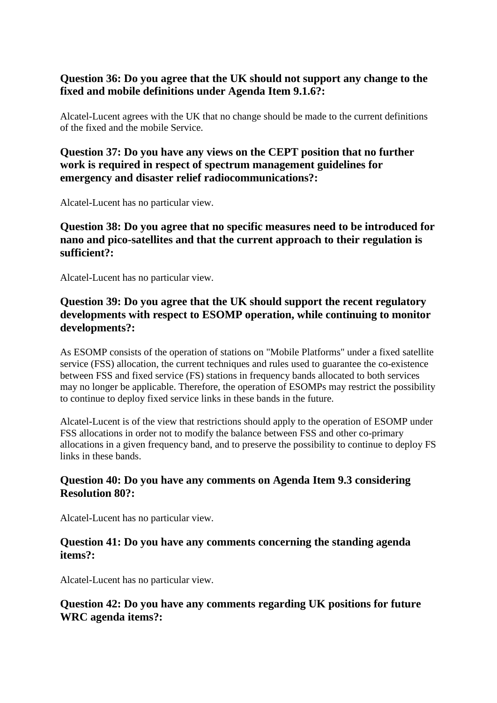### **Question 36: Do you agree that the UK should not support any change to the fixed and mobile definitions under Agenda Item 9.1.6?:**

Alcatel-Lucent agrees with the UK that no change should be made to the current definitions of the fixed and the mobile Service.

#### **Question 37: Do you have any views on the CEPT position that no further work is required in respect of spectrum management guidelines for emergency and disaster relief radiocommunications?:**

Alcatel-Lucent has no particular view.

# **Question 38: Do you agree that no specific measures need to be introduced for nano and pico-satellites and that the current approach to their regulation is sufficient?:**

Alcatel-Lucent has no particular view.

# **Question 39: Do you agree that the UK should support the recent regulatory developments with respect to ESOMP operation, while continuing to monitor developments?:**

As ESOMP consists of the operation of stations on "Mobile Platforms" under a fixed satellite service (FSS) allocation, the current techniques and rules used to guarantee the co-existence between FSS and fixed service (FS) stations in frequency bands allocated to both services may no longer be applicable. Therefore, the operation of ESOMPs may restrict the possibility to continue to deploy fixed service links in these bands in the future.

Alcatel-Lucent is of the view that restrictions should apply to the operation of ESOMP under FSS allocations in order not to modify the balance between FSS and other co-primary allocations in a given frequency band, and to preserve the possibility to continue to deploy FS links in these bands.

# **Question 40: Do you have any comments on Agenda Item 9.3 considering Resolution 80?:**

Alcatel-Lucent has no particular view.

# **Question 41: Do you have any comments concerning the standing agenda items?:**

Alcatel-Lucent has no particular view.

# **Question 42: Do you have any comments regarding UK positions for future WRC agenda items?:**